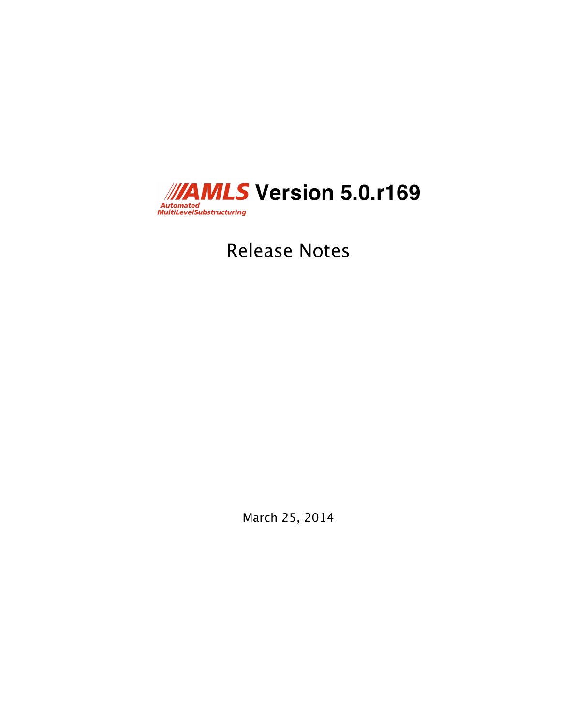

Release Notes

March 25, 2014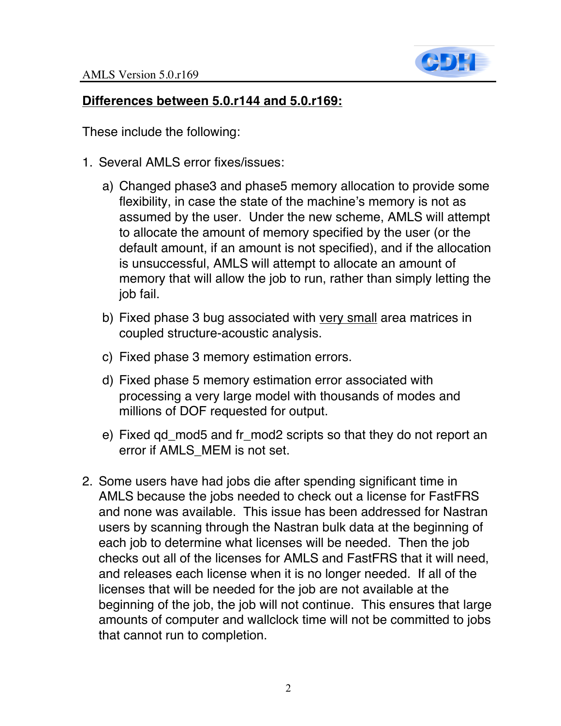

## **Differences between 5.0.r144 and 5.0.r169:**

These include the following:

- 1. Several AMLS error fixes/issues:
	- a) Changed phase3 and phase5 memory allocation to provide some flexibility, in case the state of the machine's memory is not as assumed by the user. Under the new scheme, AMLS will attempt to allocate the amount of memory specified by the user (or the default amount, if an amount is not specified), and if the allocation is unsuccessful, AMLS will attempt to allocate an amount of memory that will allow the job to run, rather than simply letting the job fail.
	- b) Fixed phase 3 bug associated with very small area matrices in coupled structure-acoustic analysis.
	- c) Fixed phase 3 memory estimation errors.
	- d) Fixed phase 5 memory estimation error associated with processing a very large model with thousands of modes and millions of DOF requested for output.
	- e) Fixed qd\_mod5 and fr\_mod2 scripts so that they do not report an error if AMLS\_MEM is not set.
- 2. Some users have had jobs die after spending significant time in AMLS because the jobs needed to check out a license for FastFRS and none was available. This issue has been addressed for Nastran users by scanning through the Nastran bulk data at the beginning of each job to determine what licenses will be needed. Then the job checks out all of the licenses for AMLS and FastFRS that it will need, and releases each license when it is no longer needed. If all of the licenses that will be needed for the job are not available at the beginning of the job, the job will not continue. This ensures that large amounts of computer and wallclock time will not be committed to jobs that cannot run to completion.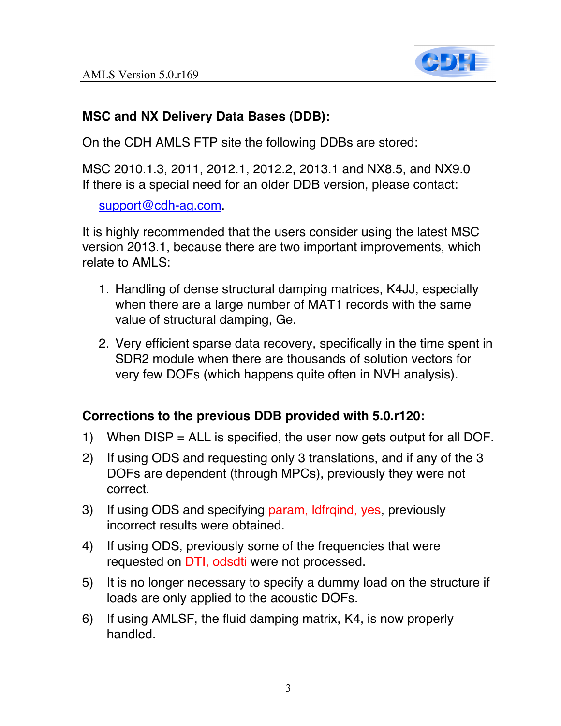

## **MSC and NX Delivery Data Bases (DDB):**

On the CDH AMLS FTP site the following DDBs are stored:

MSC 2010.1.3, 2011, 2012.1, 2012.2, 2013.1 and NX8.5, and NX9.0 If there is a special need for an older DDB version, please contact:

support@cdh-ag.com.

It is highly recommended that the users consider using the latest MSC version 2013.1, because there are two important improvements, which relate to AMLS:

- 1. Handling of dense structural damping matrices, K4JJ, especially when there are a large number of MAT1 records with the same value of structural damping, Ge.
- 2. Very efficient sparse data recovery, specifically in the time spent in SDR2 module when there are thousands of solution vectors for very few DOFs (which happens quite often in NVH analysis).

## **Corrections to the previous DDB provided with 5.0.r120:**

- 1) When DISP = ALL is specified, the user now gets output for all DOF.
- 2) If using ODS and requesting only 3 translations, and if any of the 3 DOFs are dependent (through MPCs), previously they were not correct.
- 3) If using ODS and specifying param, ldfrqind, yes, previously incorrect results were obtained.
- 4) If using ODS, previously some of the frequencies that were requested on DTI, odsdti were not processed.
- 5) It is no longer necessary to specify a dummy load on the structure if loads are only applied to the acoustic DOFs.
- 6) If using AMLSF, the fluid damping matrix, K4, is now properly handled.